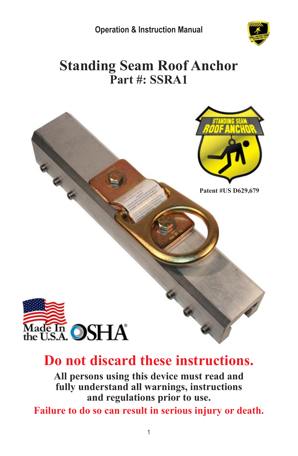

# **Standing Seam Roof Anchor Part #: SSRA1**



# **Do not discard these instructions.**

**All persons using this device must read and fully understand all warnings, instructions and regulations prior to use.**

**Failure to do so can result in serious injury or death.**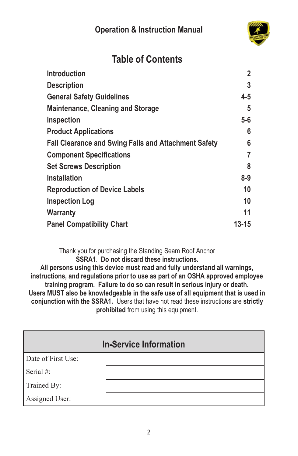

## **Table of Contents**

| <b>Introduction</b>                                         | 2     |
|-------------------------------------------------------------|-------|
| <b>Description</b>                                          | 3     |
| <b>General Safety Guidelines</b>                            | 4-5   |
| <b>Maintenance, Cleaning and Storage</b>                    | 5     |
| Inspection                                                  | $5-6$ |
| <b>Product Applications</b>                                 | 6     |
| <b>Fall Clearance and Swing Falls and Attachment Safety</b> | 6     |
| <b>Component Specifications</b>                             | 7     |
| <b>Set Screws Description</b>                               | 8     |
| <b>Installation</b>                                         | 8-9   |
| <b>Reproduction of Device Labels</b>                        | 10    |
| <b>Inspection Log</b>                                       | 10    |
| <b>Warranty</b>                                             | 11    |
| <b>Panel Compatibility Chart</b>                            | 13-15 |

Thank you for purchasing the Standing Seam Roof Anchor **SSRA1**. **Do not discard these instructions.**

**All persons using this device must read and fully understand all warnings, instructions, and regulations prior to use as part of an OSHA approved employee training program. Failure to do so can result in serious injury or death. Users MUST also be knowledgeable in the safe use of all equipment that is used in conjunction with the SSRA1.** Users that have not read these instructions are **strictly prohibited** from using this equipment.

|                    | <b>In-Service Information</b> |
|--------------------|-------------------------------|
| Date of First Use: |                               |
| Serial #:          |                               |
| Trained By:        |                               |
| Assigned User:     |                               |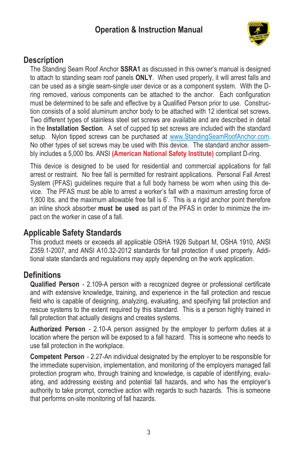

#### **Description**

The Standing Seam Roof Anchor **SSRA1** as discussed in this owner's manual is designed to attach to standing seam roof panels **ONLY**. When used properly, it will arrest falls and can be used as a single seam-single user device or as a component system. With the Dring removed, various components can be attached to the anchor. Each configuration must be determined to be safe and effective by a Qualified Person prior to use. Construction consists of a solid aluminum anchor body to be attached with 12 identical set screws. Two different types of stainless steel set screws are available and are described in detail in the **Installation Section**. A set of cupped tip set screws are included with the standard setup. Nylon tipped screws can be purchased at [www.StandingSeamRoofAnchor.com.](http://www.standingseamroofanchor.com/) No other types of set screws may be used with this device. The standard anchor assembly includes a 5,000 lbs. ANSI **(American National Safety Institute)** compliant D-ring.

This device is designed to be used for residential and commercial applications for fall arrest or restraint. No free fall is permitted for restraint applications. Personal Fall Arrest System (PFAS) guidelines require that a full body harness be worn when using this device. The PFAS must be able to arrest a worker's fall with a maximum arresting force of 1,800 lbs. and the maximum allowable free fall is 6'. This is a rigid anchor point therefore an inline shock absorber **must be used** as part of the PFAS in order to minimize the impact on the worker in case of a fall.

#### **Applicable Safety Standards**

This product meets or exceeds all applicable OSHA 1926 Subpart M, OSHA 1910, ANSI Z359.1-2007, and ANSI A10.32-2012 standards for fall protection if used properly. Additional state standards and regulations may apply depending on the work application.

#### **Definitions**

**Qualified Person** - 2.109-A person with a recognized degree or professional certificate and with extensive knowledge, training, and experience in the fall protection and rescue field who is capable of designing, analyzing, evaluating, and specifying fall protection and rescue systems to the extent required by this standard. This is a person highly trained in fall protection that actually designs and creates systems.

**Authorized Person** - 2.10-A person assigned by the employer to perform duties at a location where the person will be exposed to a fall hazard. This is someone who needs to use fall protection in the workplace.

**Competent Person** - 2.27-An individual designated by the employer to be responsible for the immediate supervision, implementation, and monitoring of the employers managed fall protection program who, through training and knowledge, is capable of identifying, evaluating, and addressing existing and potential fall hazards, and who has the employer's authority to take prompt, corrective action with regards to such hazards. This is someone that performs on-site monitoring of fall hazards.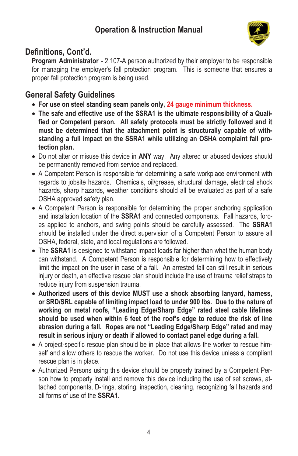

### **Definitions, Cont'd.**

**Program Administrator** - 2.107-A person authorized by their employer to be responsible for managing the employer's fall protection program. This is someone that ensures a proper fall protection program is being used.

## **General Safety Guidelines**

- **For use on steel standing seam panels only, 24 gauge minimum thickness.**
- **The safe and effective use of the SSRA1 is the ultimate responsibility of a Qualified or Competent person. All safety protocols must be strictly followed and it must be determined that the attachment point is structurally capable of withstanding a full impact on the SSRA1 while utilizing an OSHA complaint fall protection plan.**
- Do not alter or misuse this device in **ANY** way. Any altered or abused devices should be permanently removed from service and replaced.
- A Competent Person is responsible for determining a safe workplace environment with regards to jobsite hazards. Chemicals, oil/grease, structural damage, electrical shock hazards, sharp hazards, weather conditions should all be evaluated as part of a safe OSHA approved safety plan.
- A Competent Person is responsible for determining the proper anchoring application and installation location of the **SSRA1** and connected components. Fall hazards, forces applied to anchors, and swing points should be carefully assessed. The **SSRA1** should be installed under the direct supervision of a Competent Person to assure all OSHA, federal, state, and local regulations are followed.
- The **SSRA1** is designed to withstand impact loads far higher than what the human body can withstand. A Competent Person is responsible for determining how to effectively limit the impact on the user in case of a fall. An arrested fall can still result in serious injury or death, an effective rescue plan should include the use of trauma relief straps to reduce injury from suspension trauma.
- **Authorized users of this device MUST use a shock absorbing lanyard, harness, or SRD/SRL capable of limiting impact load to under 900 lbs. Due to the nature of working on metal roofs, "Leading Edge/Sharp Edge" rated steel cable lifelines should be used when within 6 feet of the roof's edge to reduce the risk of line abrasion during a fall. Ropes are not "Leading Edge/Sharp Edge" rated and may result in serious injury or death if allowed to contact panel edge during a fall.**
- A project-specific rescue plan should be in place that allows the worker to rescue himself and allow others to rescue the worker. Do not use this device unless a compliant rescue plan is in place.
- Authorized Persons using this device should be properly trained by a Competent Person how to properly install and remove this device including the use of set screws, attached components, D-rings, storing, inspection, cleaning, recognizing fall hazards and all forms of use of the **SSRA1**.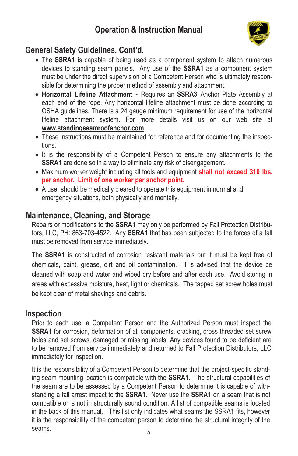

#### **General Safety Guidelines, Cont'd.**

- The **SSRA1** is capable of being used as a component system to attach numerous devices to standing seam panels. Any use of the **SSRA1** as a component system must be under the direct supervision of a Competent Person who is ultimately responsible for determining the proper method of assembly and attachment.
- **Horizontal Lifeline Attachment -** Requires an **SSRA3** Anchor Plate Assembly at each end of the rope. Any horizontal lifeline attachment must be done according to OSHA guidelines. There is a 24 gauge minimum requirement for use of the horizontal lifeline attachment system. For more details visit us on our web site at **www.standingseamroofanchor.com**.
- These instructions must be maintained for reference and for documenting the inspections.
- It is the responsibility of a Competent Person to ensure any attachments to the **SSRA1** are done so in a way to eliminate any risk of disengagement.
- Maximum worker weight including all tools and equipment **shall not exceed 310 lbs. per anchor. Limit of one worker per anchor point.**
- A user should be medically cleared to operate this equipment in normal and emergency situations, both physically and mentally.

#### **Maintenance, Cleaning, and Storage**

Repairs or modifications to the **SSRA1** may only be performed by Fall Protection Distributors, LLC, PH: 863-703-4522. Any **SSRA1** that has been subjected to the forces of a fall must be removed from service immediately.

The **SSRA1** is constructed of corrosion resistant materials but it must be kept free of chemicals, paint, grease, dirt and oil contamination. It is advised that the device be cleaned with soap and water and wiped dry before and after each use. Avoid storing in areas with excessive moisture, heat, light or chemicals. The tapped set screw holes must be kept clear of metal shavings and debris.

#### **Inspection**

Prior to each use, a Competent Person and the Authorized Person must inspect the **SSRA1** for corrosion, deformation of all components, cracking, cross threaded set screw holes and set screws, damaged or missing labels. Any devices found to be deficient are to be removed from service immediately and returned to Fall Protection Distributors, LLC immediately for inspection.

It is the responsibility of a Competent Person to determine that the project-specific standing seam mounting location is compatible with the **SSRA1**. The structural capabilities of the seam are to be assessed by a Competent Person to determine it is capable of withstanding a fall arrest impact to the **SSRA1**. Never use the **SSRA1** on a seam that is not compatible or is not in structurally sound condition. A list of compatible seams is located in the back of this manual. This list only indicates what seams the SSRA1 fits, however it is the responsibility of the competent person to determine the structural integrity of the seams.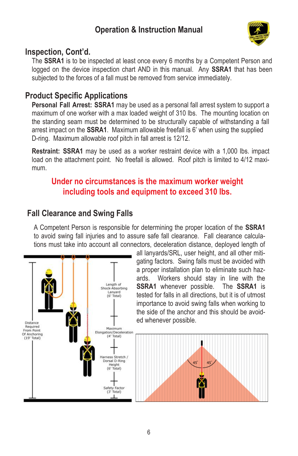

#### **Inspection, Cont'd.**

The **SSRA1** is to be inspected at least once every 6 months by a Competent Person and logged on the device inspection chart AND in this manual. Any **SSRA1** that has been subjected to the forces of a fall must be removed from service immediately.

#### **Product Specific Applications**

**Personal Fall Arrest: SSRA1** may be used as a personal fall arrest system to support a maximum of one worker with a max loaded weight of 310 lbs. The mounting location on the standing seam must be determined to be structurally capable of withstanding a fall arrest impact on the **SSRA1**. Maximum allowable freefall is 6' when using the supplied D-ring. Maximum allowable roof pitch in fall arrest is 12/12.

**Restraint: SSRA1** may be used as a worker restraint device with a 1,000 lbs. impact load on the attachment point. No freefall is allowed. Roof pitch is limited to 4/12 maximum.

#### **Under no circumstances is the maximum worker weight including tools and equipment to exceed 310 lbs.**

#### **Fall Clearance and Swing Falls**

A Competent Person is responsible for determining the proper location of the **SSRA1** to avoid swing fall injuries and to assure safe fall clearance. Fall clearance calculations must take into account all connectors, deceleration distance, deployed length of



all lanyards/SRL, user height, and all other mitigating factors. Swing falls must be avoided with a proper installation plan to eliminate such hazards. Workers should stay in line with the **SSRA1** whenever possible. The **SSRA1** is tested for falls in all directions, but it is of utmost importance to avoid swing falls when working to the side of the anchor and this should be avoided whenever possible.

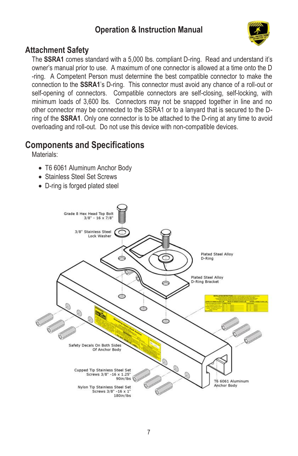

#### **Attachment Safety**

The **SSRA1** comes standard with a 5,000 lbs. compliant D-ring. Read and understand it's owner's manual prior to use. A maximum of one connector is allowed at a time onto the D -ring. A Competent Person must determine the best compatible connector to make the connection to the **SSRA1**'s D-ring. This connector must avoid any chance of a roll-out or self-opening of connectors. Compatible connectors are self-closing, self-locking, with minimum loads of 3,600 lbs. Connectors may not be snapped together in line and no other connector may be connected to the SSRA1 or to a lanyard that is secured to the Dring of the **SSRA1**. Only one connector is to be attached to the D-ring at any time to avoid overloading and roll-out. Do not use this device with non-compatible devices.

## **Components and Specifications**

Materials<sup>.</sup>

- T6 6061 Aluminum Anchor Body
- Stainless Steel Set Screws
- D-ring is forged plated steel

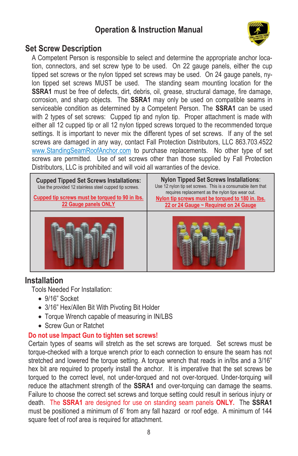

#### **Set Screw Description**

A Competent Person is responsible to select and determine the appropriate anchor location, connectors, and set screw type to be used. On 22 gauge panels, either the cup tipped set screws or the nylon tipped set screws may be used. On 24 gauge panels, nylon tipped set screws MUST be used. The standing seam mounting location for the **SSRA1** must be free of defects, dirt, debris, oil, grease, structural damage, fire damage, corrosion, and sharp objects. The **SSRA1** may only be used on compatible seams in serviceable condition as determined by a Competent Person. The **SSRA1** can be used with 2 types of set screws: Cupped tip and nylon tip. Proper attachment is made with either all 12 cupped tip or all 12 nylon tipped screws torqued to the recommended torque settings. It is important to never mix the different types of set screws. If any of the set screws are damaged in any way, contact Fall Protection Distributors, LLC 863.703.4522 [www.StandingSeamRoofAnchor.com](http://www.standingseamroofanchor.com/) to purchase replacements. No other type of set screws are permitted. Use of set screws other than those supplied by Fall Protection Distributors, LLC is prohibited and will void all warranties of the device.

| <b>Cupped Tipped Set Screws Installations:</b><br>Use the provided 12 stainless steel cupped tip screws. |  |
|----------------------------------------------------------------------------------------------------------|--|
| Cupped tip screws must be torqued to 90 in lbs.<br>22 Gauge panels ONLY                                  |  |
|                                                                                                          |  |

**Nylon Tipped Set Screws Installations**: Use 12 nylon tip set screws. This is a consumable item that requires replacement as the nylon tips wear out. **Nylon tip screws must be torqued to 180 in. lbs. 22 or 24 Gauge ~ Required on 24 Gauge**



#### **Installation**

Tools Needed For Installation:

- 9/16" Socket
- 3/16" Hex/Allen Bit With Pivoting Bit Holder
- Torque Wrench capable of measuring in IN/LBS
- Screw Gun or Ratchet

#### **Do not use Impact Gun to tighten set screws!**

Certain types of seams will stretch as the set screws are torqued. Set screws must be torque-checked with a torque wrench prior to each connection to ensure the seam has not stretched and lowered the torque setting. A torque wrench that reads in in/lbs and a 3/16" hex bit are required to properly install the anchor. It is imperative that the set screws be torqued to the correct level, not under-torqued and not over-torqued. Under-torquing will reduce the attachment strength of the **SSRA1** and over-torquing can damage the seams. Failure to choose the correct set screws and torque setting could result in serious injury or death. The **SSRA1** are designed for use on standing seam panels **ONLY.** The **SSRA1** must be positioned a minimum of 6' from any fall hazard or roof edge. A minimum of 144 square feet of roof area is required for attachment.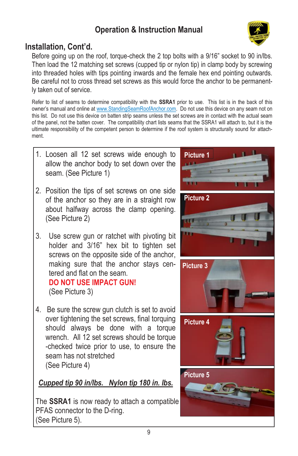

## **Installation, Cont'd.**

Before going up on the roof, torque-check the 2 top bolts with a 9/16" socket to 90 in/lbs. Then load the 12 matching set screws (cupped tip or nylon tip) in clamp body by screwing into threaded holes with tips pointing inwards and the female hex end pointing outwards. Be careful not to cross thread set screws as this would force the anchor to be permanently taken out of service.

Refer to list of seams to determine compatibility with the **SSRA1** prior to use. This list is in the back of this owner's manual and online at [www.StandingSeamRoofAnchor.com.](http://www.standingseamroofanchor.com/) Do not use this device on any seam not on this list. Do not use this device on batten strip seams unless the set screws are in contact with the actual seam of the panel, not the batten cover. The compatibility chart lists seams that the SSRA1 will attach to, but it is the ultimate responsibility of the competent person to determine if the roof system is structurally sound for attachment.

- 1. Loosen all 12 set screws wide enough to allow the anchor body to set down over the seam. (See Picture 1)
- 2. Position the tips of set screws on one side of the anchor so they are in a straight row about halfway across the clamp opening. (See Picture 2)
- 3. Use screw gun or ratchet with pivoting bit holder and 3/16" hex bit to tighten set screws on the opposite side of the anchor, making sure that the anchor stays centered and flat on the seam. **DO NOT USE IMPACT GUN!**

(See Picture 3)

4. Be sure the screw gun clutch is set to avoid over tightening the set screws, final torquing should always be done with a torque wrench. All 12 set screws should be torque -checked twice prior to use, to ensure the seam has not stretched (See Picture 4)

## *Cupped tip 90 in/lbs. Nylon tip 180 in. lbs.*

The **SSRA1** is now ready to attach a compatible PFAS connector to the D-ring. (See Picture 5).

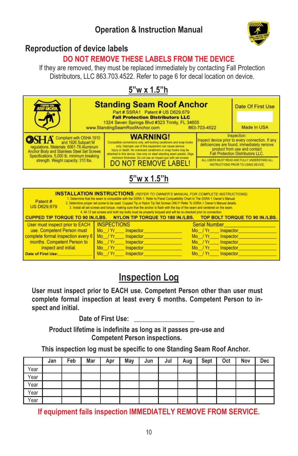

### **Reproduction of device labels**

## **DO NOT REMOVE THESE LABELS FROM THE DEVICE**

If they are removed, they must be replaced immediately by contacting Fall Protection Distributors, LLC 863.703.4522. Refer to page 6 for decal location on device.

## **5"w x 1.5"h**



| <b>INSTALLATION INSTRUCTIONS</b> (REFER TO OWNER'S MANUAL FOR COMPLETE INSTRUCTIONS)<br>1. Determine that the seam is compatible with the SSRA-1. Refer to Panel Compatibility Chart In The SSRA-1 Owner's Manual.<br>Patent #<br>2. Determine proper set screw to be used. Cupped Tip or Nylon Tip Set Screws ONLY! Refer To SSRA-1 Owner's Manual details.<br><b>US D629,679</b><br>3. Install all set screws and torque, making sure that the anchor is flush with the top of the seam and centered on the seam.<br>4. All 12 set screws and both top bolts must be properly torqued and will be re-checked prior to connection. |                                                                                                  |                                 |  |  |  |  |
|-------------------------------------------------------------------------------------------------------------------------------------------------------------------------------------------------------------------------------------------------------------------------------------------------------------------------------------------------------------------------------------------------------------------------------------------------------------------------------------------------------------------------------------------------------------------------------------------------------------------------------------|--------------------------------------------------------------------------------------------------|---------------------------------|--|--|--|--|
|                                                                                                                                                                                                                                                                                                                                                                                                                                                                                                                                                                                                                                     | CUPPED TIP TORQUE TO 90 IN./LBS. NYLON TIP TORQUE TO 180 IN./LBS. TOP BOLT TORQUE TO 90 IN./LBS. |                                 |  |  |  |  |
| User must inspect prior to EACH                                                                                                                                                                                                                                                                                                                                                                                                                                                                                                                                                                                                     | <b>INSPECTIONS</b>                                                                               | <b>Serial Number</b>            |  |  |  |  |
| use. Competent Person must                                                                                                                                                                                                                                                                                                                                                                                                                                                                                                                                                                                                          | $Mo$ / $Yr$<br>Inspector                                                                         | $Mo$ / $Yr$<br>Inspector        |  |  |  |  |
| complete formal inspection every 6                                                                                                                                                                                                                                                                                                                                                                                                                                                                                                                                                                                                  | Mo / Yr<br>Inspector                                                                             | Mo / Yr Inspector               |  |  |  |  |
| months. Competent Person to                                                                                                                                                                                                                                                                                                                                                                                                                                                                                                                                                                                                         | Mo / Yr<br>Inspector                                                                             | Inspector<br>$Mo$ / $Yr$        |  |  |  |  |
| inspect and initial.                                                                                                                                                                                                                                                                                                                                                                                                                                                                                                                                                                                                                | $Mo$ / $Yr$<br>Inspector                                                                         | <b>Inspector</b><br>$Mo$ / $Yr$ |  |  |  |  |
| <b>Date of First Use:</b>                                                                                                                                                                                                                                                                                                                                                                                                                                                                                                                                                                                                           | Inspector<br>Mo / Yr                                                                             | Inspector<br>$Mo$ / $Yr$        |  |  |  |  |

## **Inspection Log**

**User must inspect prior to EACH use. Competent Person other than user must complete formal inspection at least every 6 months. Competent Person to inspect and initial.**

Date of First Use:

**Product lifetime is indefinite as long as it passes pre-use and Competent Person inspections.**

**This inspection log must be specific to one Standing Seam Roof Anchor.**

|      | Jan | Feb | Mar | Apr | May | Jun | Jul | Aug | Sept | Oct | Nov | Dec |
|------|-----|-----|-----|-----|-----|-----|-----|-----|------|-----|-----|-----|
| Year |     |     |     |     |     |     |     |     |      |     |     |     |
| Year |     |     |     |     |     |     |     |     |      |     |     |     |
| Year |     |     |     |     |     |     |     |     |      |     |     |     |
| Year |     |     |     |     |     |     |     |     |      |     |     |     |
| Year |     |     |     |     |     |     |     |     |      |     |     |     |

**If equipment fails inspection IMMEDIATELY REMOVE FROM SERVICE.**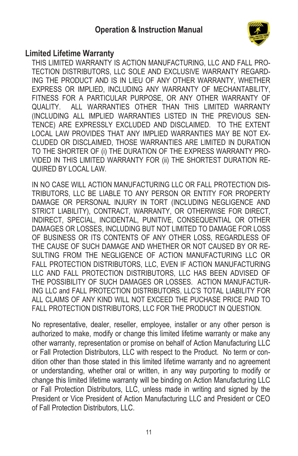

#### **Limited Lifetime Warranty**

THIS LIMITED WARRANTY IS ACTION MANUFACTURING, LLC AND FALL PRO-TECTION DISTRIBUTORS, LLC SOLE AND EXCLUSIVE WARRANTY REGARD-ING THE PRODUCT AND IS IN LIEU OF ANY OTHER WARRANTY, WHETHER EXPRESS OR IMPLIED, INCLUDING ANY WARRANTY OF MECHANTABILITY, FITNESS FOR A PARTICULAR PURPOSE, OR ANY OTHER WARRANTY OF QUALITY. ALL WARRANTIES OTHER THAN THIS LIMITED WARRANTY (INCLUDING ALL IMPLIED WARRANTIES LISTED IN THE PREVIOUS SEN-TENCE) ARE EXPRESSLY EXCLUDED AND DISCLAIMED. TO THE EXTENT LOCAL LAW PROVIDES THAT ANY IMPLIED WARRANTIES MAY BE NOT EX-CLUDED OR DISCLAIMED, THOSE WARRANTIES ARE LIMITED IN DURATION TO THE SHORTER OF (i) THE DURATION OF THE EXPRESS WARRANTY PRO-VIDED IN THIS LIMITED WARRANTY FOR (ii) THE SHORTEST DURATION RE-QUIRED BY LOCAL LAW.

IN NO CASE WILL ACTION MANUFACTURING LLC OR FALL PROTECTION DIS-TRIBUTORS, LLC BE LIABLE TO ANY PERSON OR ENTITY FOR PROPERTY DAMAGE OR PERSONAL INJURY IN TORT (INCLUDING NEGLIGENCE AND STRICT LIABILITY), CONTRACT, WARRANTY, OR OTHERWISE FOR DIRECT, INDIRECT, SPECIAL, INCIDENTAL, PUNITIVE, CONSEQUENTIAL OR OTHER DAMAGES OR LOSSES, INCLUDING BUT NOT LIMITED TO DAMAGE FOR LOSS OF BUSINESS OR ITS CONTENTS OF ANY OTHER LOSS, REGARDLESS OF THE CAUSE OF SUCH DAMAGE AND WHETHER OR NOT CAUSED BY OR RE-SULTING FROM THE NEGLIGENCE OF ACTION MANUFACTURING LLC OR FALL PROTECTION DISTRIBUTORS, LLC, EVEN IF ACTION MANUFACTURING LLC AND FALL PROTECTION DISTRIBUTORS, LLC HAS BEEN ADVISED OF THE POSSIBILITY OF SUCH DAMAGES OR LOSSES. ACTION MANUFACTUR-ING LLC and FALL PROTECTION DISTRIBUTORS, LLC'S TOTAL LIABILITY FOR ALL CLAIMS OF ANY KIND WILL NOT EXCEED THE PUCHASE PRICE PAID TO FALL PROTECTION DISTRIBUTORS, LLC FOR THE PRODUCT IN QUESTION.

No representative, dealer, reseller, employee, installer or any other person is authorized to make, modify or change this limited lifetime warranty or make any other warranty, representation or promise on behalf of Action Manufacturing LLC or Fall Protection Distributors, LLC with respect to the Product. No term or condition other than those stated in this limited lifetime warranty and no agreement or understanding, whether oral or written, in any way purporting to modify or change this limited lifetime warranty will be binding on Action Manufacturing LLC or Fall Protection Distributors, LLC, unless made in writing and signed by the President or Vice President of Action Manufacturing LLC and President or CEO of Fall Protection Distributors, LLC.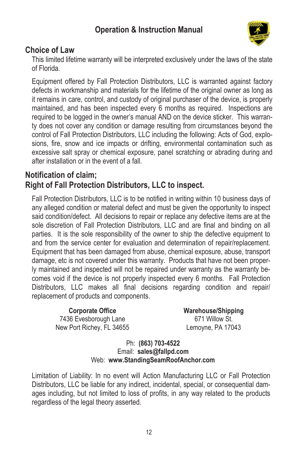

#### **Choice of Law**

This limited lifetime warranty will be interpreted exclusively under the laws of the state of Florida.

Equipment offered by Fall Protection Distributors, LLC is warranted against factory defects in workmanship and materials for the lifetime of the original owner as long as it remains in care, control, and custody of original purchaser of the device, is properly maintained, and has been inspected every 6 months as required. Inspections are required to be logged in the owner's manual AND on the device sticker. This warranty does not cover any condition or damage resulting from circumstances beyond the control of Fall Protection Distributors, LLC including the following: Acts of God, explosions, fire, snow and ice impacts or drifting, environmental contamination such as excessive salt spray or chemical exposure, panel scratching or abrading during and after installation or in the event of a fall.

#### **Notification of claim; Right of Fall Protection Distributors, LLC to inspect.**

Fall Protection Distributors, LLC is to be notified in writing within 10 business days of any alleged condition or material defect and must be given the opportunity to inspect said condition/defect. All decisions to repair or replace any defective items are at the sole discretion of Fall Protection Distributors, LLC and are final and binding on all parties. It is the sole responsibility of the owner to ship the defective equipment to and from the service center for evaluation and determination of repair/replacement. Equipment that has been damaged from abuse, chemical exposure, abuse, transport damage, etc is not covered under this warranty. Products that have not been properly maintained and inspected will not be repaired under warranty as the warranty becomes void if the device is not properly inspected every 6 months. Fall Protection Distributors, LLC makes all final decisions regarding condition and repair/ replacement of products and components.

**Corporate Office** 7436 Evesborough Lane New Port Richey, FL 34655 **Warehouse/Shipping** 671 Willow St. Lemoyne, PA 17043

#### Ph: **(863) 703-4522** Email: **sales@fallpd.com** Web: **www.StandingSeamRoofAnchor.com**

Limitation of Liability: In no event will Action Manufacturing LLC or Fall Protection Distributors, LLC be liable for any indirect, incidental, special, or consequential damages including, but not limited to loss of profits, in any way related to the products regardless of the legal theory asserted.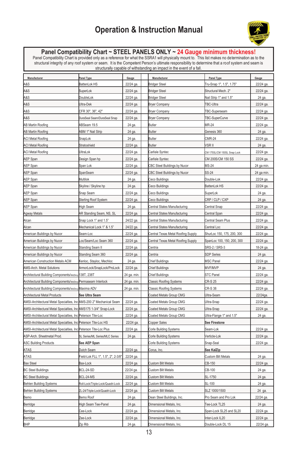

## **Panel Compatibility Chart ~ STEEL PANELS ONLY ~ 24 Gauge minimum thickness!**<br>Panel Compatibility Chart is provided only as a reference for what the SSRA1 will physically mount to. This list makes no determination as to t structurally capable of withstanding an impact in the event of a fall. **Manufacturer Panel Type Gauge Manufacturer Panel Type Gauge** A&S BattenLok HS 22/24 ga. Bridger Steel Tru-Snap 1", 1.5", 1.75" 22/24 ga A&S SuperLok 22/24 ga. Bridger Steel Structural Mech. 2" 22/24 ga. A&S DoubleLok 22/24 ga. Bridger Steel Nail Strip 1" and 1.5" 24 ga.

| A&S                                                                  | DoubleLok                             | 22/24 ga.   | Bridger Steel                      | Nail Strip 1" and 1.5"      | 24 ga.     |
|----------------------------------------------------------------------|---------------------------------------|-------------|------------------------------------|-----------------------------|------------|
| A&S                                                                  | JItra-Dek                             | 22/24 ga.   | <b>Bryer Company</b>               | TBC-Ultra                   | 22/24 ga.  |
| A&S                                                                  | CFR 30", 36", 42"                     | 22/24 ga.   | <b>Bryer Company</b>               | TBC-Superseam               | 22/24 ga.  |
| A&S                                                                  | OuraSeal Seam/DuraSeal Snap           | 22/24 ga.   | <b>Bryer Company</b>               | TBC-SuperCurve              | 22/24 ga.  |
| AB Martin Roofing                                                    | ABSeam 19.5                           | 24 ga.      | <b>Butler</b>                      | MR-24                       | 22/24 ga.  |
| AB Martin Roofing                                                    | ABM 1" Nail Strip                     | 24 ga.      | Butler                             | Genesis 360                 | 24 ga.     |
| <b>ACI Metal Roofing</b>                                             | SnapLok                               | 24 ga.      | <b>Butler</b>                      | <b>CMR-24</b>               | 22/24 ga.  |
| <b>ACI Metal Roofing</b>                                             | Stratoshield                          | 22/24 ga.   | <b>Butler</b>                      | VSR II                      | 24 ga.     |
| <b>ACI Metal Roofing</b>                                             | JitraLok                              | 22/24 ga.   | Carlisle Syntec                    | CM 175SL/CM 150SL Snap Lock | 22/24 ga.  |
| AEP Span                                                             | Design Span hp                        | 22/24 ga.   | Carlisle Syntec                    | CM 200S/CM 150 SS           | 22/24 ga.  |
| AEP Span                                                             | Span Lok                              | 22/24 ga.   | CBC Steel Buildings by Nucor       | MS-24                       | 24 ga min. |
| AEP Span                                                             | SpanSeam                              | 22/24 ga.   | CBC Steel Buildings by Nucor       | SS-24                       | 24 ga min  |
| AEP Span                                                             | Multilok                              | 24 ga.      | Ceco Buildings                     | Double-Lok                  | 22/24 ga.  |
| AEP Span                                                             | Skyline / Skyline hp                  | 24 ga.      | Ceco Buildings                     | BattenLok HS                | 22/24 ga.  |
| AEP Span                                                             | Snap Seam                             | 22/24 ga.   | Ceco Buildings                     | SuperLok                    | 24 ga.     |
| <b>AEP Span</b>                                                      | <b>Sterling Roof System</b>           | 22/24 ga.   | Ceco Buildings                     | CRP / CLP / CXP             | 24 ga.     |
| AEP Span                                                             | High Seam                             | 24 ga.      | Central States Manufacturing       | Central Snap                | 22/24 ga.  |
| Agway Metals                                                         | AR Standing Seam, NS, SL              | 22/24 ga.   | Central States Manufacturing       | Central Span                | 22/24 ga.  |
| Alcan                                                                | Snap Lock 1" and 1.5"                 | 24/22 ga.   | Central States Manufacturing       | Central Seam Plus           | 22/24 ga.  |
| Alcan                                                                | Mechanical Lock 1" & 1.5"             | 24/22 ga.   | Central States Manufacturing       | Central Loc                 | 22/24 ga.  |
| American Buildings by Nucor                                          | Seam-Loc                              | 22/24 ga.   | Central Texas Metal Roofing Supply | ShurLoc 150, 175, 200, 300  | 22/24 ga.  |
| American Buildings by Nucor                                          | oc/Seam/Loc Seam 360                  | 22/24 ga.   | Central Texas Metal Roofing Supply | SpanLoc 100, 150, 200, 300  | 22/24 ga.  |
| American Buildings by Nucor                                          | Standing Seam II                      | 22/24 ga.   | Centria                            | SRS-2 / SRS-3               | 18-24 ga.  |
| American Buildings by Nucor                                          | Standing Seam 360                     | 22/24 ga.   | Centria                            | <b>SDP Series</b>           | 24 ga.     |
| American Construction Metals ACM                                     | Kenloc, Stayloc, Mechloc              | 24 ga.      | Chief Buildings                    | MSC Panel                   | 22/24 ga.  |
| AMS-Arch. Metal Solutions                                            | ArmorLock/SnapLock/ProLock            | 22/24 ga.   | Chief Buildings                    | MVF/MVP                     | 24 ga.     |
| Architectural Building Components/McElroy 138T, 238T                 |                                       | 24 ga. min. | Chief Buildings                    | STC Panel                   | 22/24 ga.  |
| Architectural Building Components/McElroy Permaseam Interlock        |                                       | 24 ga. min. | <b>Classic Roofing Systems</b>     | <b>CR-S 25</b>              | 22/24 ga.  |
| Architectural Building Components/MeElroy Maxima ADV                 |                                       | 24 ga. min. | Classic Roofing Systems            | CR-S 38                     | 22/24 ga.  |
| Architectural Metal Products                                         | See Ultra Seam                        |             | Coated Metals Group CMG            | Ultra-Seam                  | 22/24ga.   |
| AMSI-Architectural Metal Specialties, Inc AMS-200 2" Mechanical Seam |                                       | 22/24 ga.   | Coated Metals Group CMG            | Ultra-Snap                  | 22/24 ga.  |
| AMSI-Architectural Metal Specialties, Inc AMS175 1-3/4" Snap-Lock    |                                       | 22/24 ga.   | Coated Metals Group CMG            | Ultra-Snap                  | 22/24 ga.  |
| AMSI-Architectural Metal Specialties, Inc Peterson Tite-Loc          |                                       | 22/24 ga.   | Coated Metals Group CMG            | Ultra-Flange 1" and 1.5"    | 24 ga.     |
| AMSI-Architectural Metal Specialties, Inc Peterson Tite-Loc HS       |                                       | 22/24 ga.   | Copper Sales                       | <b>See Firestone</b>        |            |
| AMSI-Architectural Metal Specialties, Inc Peterson Tite-Loc Plus     |                                       | 22/24 ga.   | Corle Building Systems             | Seam-Lok                    | 22/24 ga.  |
| ASP-Arch. Sheetmetal Prod.                                           | <b>SL Series/ML Series/MLC Series</b> | 24 ga.      | Corle Building Systems             | Verticle-Lok                | 22/24 ga.  |
| <b>ASC Building Products</b>                                         | See AEP Span                          |             | Corle Building Systems             | Snap-Seal                   | 22/24 ga.  |
| ATAS                                                                 | Dutch Seam                            | 22/24 ga.   | Corus, Inc.                        | See KalZip                  |            |
| ATAS                                                                 | Field-Lok FLL 1", 1.5", 2", 2-3/8"    | 22/24 ga.   |                                    | <b>Custom Bilt Metals</b>   | 24 ga.     |
| <b>Bax Steel</b>                                                     | Bax-Lock                              | 22/24 ga.   | Custom Bilt Metals                 | CB-150                      | 22/24 ga.  |
| <b>BC Steel Buildings</b>                                            | BCL-24-SD                             | 22/24 ga.   | Custom Bilt Metals                 | CB-100                      | 24 ga.     |
| <b>BC Steel Buildings</b>                                            | BCL-24-MS                             | 22/24 ga.   | Custom Bilt Metals                 | SL-1750                     | 24 ga.     |
| <b>Behlen Building Systems</b>                                       | Roll-Lock/Triple-Lock/Quadri-Lock     | 22/24 ga.   | Custom Bilt Metals                 | SL-100                      | 24 ga.     |
| <b>Behlen Building Systems</b>                                       | ZL-24/Triple-Lock/Quadri-Lock         | 22/24 ga.   | Custom Bilt Metals                 | SLZ 1000/1500               | 24 ga.     |
| Bemo                                                                 | Bemo Roof                             | 24 ga.      | Dean Steel Buildings, Inc.         | Pro Seam and Pro Lok        | 22/24 ga.  |
| Berridge                                                             | High Seam Tee-Panel                   | 24 ga.      | Dimensional Metals, Inc.           | Tee-Lock TL25               | 24 ga.     |
| Berridge                                                             | Cee-Lock                              | 22/24 ga.   | Dimensional Metals, Inc            | Span-Lock SL25 and SL20     | 22/24 ga.  |
| Berridge                                                             |                                       |             |                                    |                             |            |
|                                                                      | Zee-Lock                              | 22/24 ga.   | Dimensional Metals, Inc.           | Inter-Lock IL20             | 22/24 ga.  |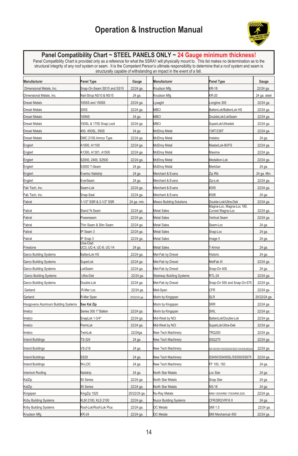

**Panel Compatibility Chart ~ STEEL PANELS ONLY ~ 24 Gauge minimum thickness!**<br>Panel Compatibility Chart is provided only as a reference for what the SSRA1 will physically mount to. This list makes no determination as to t

| Manufacturer                        | <b>Panel Type</b>          | Gauge                  | Manufacturer                    | Panel Type                      | Gauge            |
|-------------------------------------|----------------------------|------------------------|---------------------------------|---------------------------------|------------------|
| Dimensional Metals, Inc.            | Snap-On-Seam SS10 and SS15 | 22/24 ga.              | Knudson Mfg                     | <b>KR-18</b>                    | 22/24 ga         |
| Dimensional Metals, Inc.            | Nail-Strop NS10 & NS15     | 24 ga.                 | Knudson Mfg                     | KR-20                           | 24 ga. steel     |
| <b>Drexel Metals</b>                | 100SS and 150SS            | 22/24 ga.              | ysaght                          | ongline 305                     | 22/24 ga.        |
| Drexel Metals                       | 200S                       | 22/24 ga               | <b>MBCI</b>                     | BattenLok/BattenLok HS          | 22/24 ga.        |
| <b>Drexel Metals</b>                | <b>100NS</b>               | 24 ga.                 | <b>MBCI</b>                     | OoubleLok/LokSeam               | 22/24 ga.        |
| <b>Drexel Metals</b>                | 50SL & 175S Snap Lock      | 22/24 ga.              | <b>MBCI</b>                     | SuperLok/Ultradek               | 22/24 ga.        |
| <b>Drexel Metals</b>                | 450, 450SL, 550S           | 24 ga.                 | McElroy Metal                   | 38T/238T                        | 22/24 ga.        |
| Drexel Metals                       | DMC 210S Armco Type        | 22/24 ga.              | McElroy Metal                   | nstaloc                         | 24 ga.           |
| Englert                             | A1000, A1100               | 22/24 ga.              | McElroy Metal                   | MasterLok-90/FS                 | 22/24 ga.        |
| Englert                             | A1300, A1301, A1500        | 22/24 ga.              | McElroy Metal                   | Maxima                          | 22/24 ga.        |
| Englert                             | S2000, 2400, S2500         | 22/24 ga               | McElroy Metal                   | Medallion-Lok                   | 22/24 ga         |
| Englert                             | S3000 T-Seam               | 24 ga.                 | McElroy Metal                   | Meridian                        | 24 ga            |
| Englert                             | Everloc Nailstrip          | 24 ga.                 | Merchant & Evans                | Zip Rib                         | 24 ga. Min.      |
| Englert                             | EverSeam                   | 24 ga.                 | Merchant & Evans                | Zip-Lok                         | 22/24 ga.        |
| Fab Tech, Inc.                      | Seam-Lok                   | 22/24 ga               | Merchant & Evans                | #305                            | 22/24 ga         |
| Fab Tech, Inc.                      | Snap-Seal                  | 22/24 ga.              | Merchant & Evans                | #306                            | 24 ga.           |
| Fabral                              | -1/2" SSR & 2-1/2" SSR     | 24 ga. min.            | <b>Mesco Building Solutions</b> | )ouble-Lok/Ultra-Dek            | 22/24 ga         |
|                                     |                            |                        |                                 | Magna-Loc, Magna-Loc 180,       |                  |
| Fabral                              | Stand 'N Seam              | 22/24 ga               | Metal Sales                     | Curved Magna-Loc                | 22/24 ga.        |
| Fabral                              | Powerseam                  | 22/24 ga.              | Metal Sales                     | /ertical Seam                   | 22/24 ga.        |
| Fabral                              | Thin Seam & Slim Seam      | 22/24 ga               | Metal Sales                     | Seam-Loc                        | 24 ga.           |
| Fabral<br>Fabral                    | P Seam 3<br>P Snap 3       | 22/24 ga.<br>22/24 ga. | Metal Sales<br>Metal Sales      | Snap-Loc                        | 24 ga.<br>24 ga. |
|                                     | Una-Clad                   |                        |                                 | mage II                         |                  |
| Firestone                           | JC3, UC-4, UC-6, UC-14     | 24 ga.                 | Metal Sales                     | T-Armor                         | 24 ga.           |
| Garco Building Systems              | BattenLok HS               | 22/24 ga.              | Met-Fab by Drexel               | Historic                        | 24 ga.           |
| Garco Building Systems              | SuperLok                   | 22/24 ga.              | Met-Fab by Drexel               | MetFab III                      | 22/24 ga         |
| Garco Building Systems              | .okSeam                    | 22/24 ga.              | Met-Fab by Drexel               | Snap-On 400                     | 24 ga.           |
| Garco Building Systems              | Ultra-Dek                  | 22/24 ga.              | Steelway Building Systems       | RTL-24                          | 22/24 ga         |
| Garco Building Systems              | Double-Lok                 | 22/24 ga.              | Met-Fab by Drexel               | Snap-On 550 and Snap-On 675     | 22/24 ga.        |
| Garland                             | R-Mer Loc                  | 22/24 ga.              | Metl-Span                       | CFR                             | 22/24 ga.        |
| Garland                             | R-Mer Span                 | 20/22/24 ga.           | Morin by Kingspan               | SLR                             | 20/22/24 ga.     |
| Hoogovens Aluminum Building Systems | See Kal Zip                |                        | Morin by Kingspan               | SRR                             | 22/24 ga.        |
| Imetco                              | Series 300 1" Batten       | 22/24 ga.              | Morin by Kingspan               | SWL                             | 22/24 ga.        |
| Imetco                              | SnapLok 1-3/4"             | 22/24 ga.              | Mid-West by NCI                 | BattenLok/Double-Lok            | 22/24 ga.        |
| Imetco                              | PermLok                    | 22/24 ga               | Mid-West by NCI                 | SuperLok/Ultra-Dek              | 22/24 ga.        |
| Imetco                              | TwinLok                    | 22/24ga                | New Tech Machinery              | <b>FRQ250</b>                   | 22/24 ga.        |
| <b>Inland Buildings</b>             | <b>TS-324</b>              | 24 ga.                 | New Tech Machinery              | SSQ275                          | 22/24 ga.        |
| Inland Buildings                    | /S-216                     | 24 ga                  | New Tech Machinery              | S100/SS150/SS200/SS210A/SS450/s | 22/24 ga         |
| <b>Inland Buildings</b>             | SS20                       | 24 ga.                 | New Tech Machinery              | SS450/SS450SL/SS550/SS675       | 22/24 ga         |
| Inland Buildings                    | <b>IN-LOC</b>              | 24 ga.                 | New Tech Machinery              | FF 100, 150                     | 24 ga.           |
| Interlock Roofing                   | Nailstrip                  | 24 ga.                 | North Star Metals               | oc Star                         | 24 ga.           |
| KalZip                              | 50 Series                  | 22/24 ga.              | North Star Metals               | Snap Star                       | 24 ga.           |
| KalZip                              | 65 Series                  | 22/24 ga.              | North Star Metals               | NS-18                           | 24 ga.           |
| Kingspan                            | KingZip 1020               | 20/22/24 ga            | Nu-Ray Metals                   | VRM 1000/NRM 1750/NRM 2000      | 22/24 ga         |
| Kirby Building Systems              | KLM 2100, KLS 2100         | 22/24 ga.              | Nucor Building Systems          | CFR/SR2/VR16II                  | 24 ga.           |
| Kirby Building Systems              | Roof-Lok/Roof-Lok Plus     | 22/24 ga.              | <b>OC</b> Metals                | SMI 1.5                         | 22/24 ga.        |
| Knudson Mfg                         | <b>KR-24</b>               | 22/24 ga.              | <b>OC</b> Metals                | SMI Mechanical 450              | 22/24 ga         |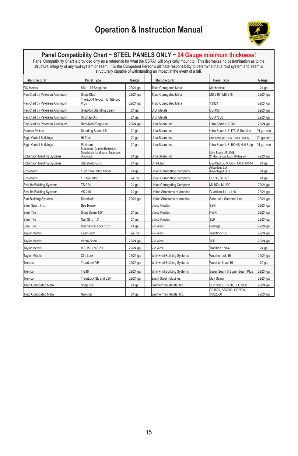

**Panel Compatibility Chart ~ STEEL PANELS ONLY ~ 24 Gauge minimum thickness!**<br>Panel Compatibility Chart is provided only as a reference for what the SSRA1 will physically mount to. This list makes no determination as to t

| Manufacturer                    | <b>Panel Type</b>                                                                 | Gauge     | oa aolanany oapaoio or manolanan'ilay amin'ipaolin'i aro ovontroira nan.<br>Manufacturer | <b>Panel Type</b>                                  | Gauge       |
|---------------------------------|-----------------------------------------------------------------------------------|-----------|------------------------------------------------------------------------------------------|----------------------------------------------------|-------------|
| <b>OC</b> Metals                | SMI 1.75 SnapLock                                                                 | 22/24 ga. | <b>Triad Corrugated Metal</b>                                                            | Mechanical                                         | 24 ga.      |
| Pac-Clad by Petersen Aluminum   | Snap-Clad                                                                         | 22/24 ga. | <b>Triad Corrugated Metal</b>                                                            | MS 216 / MS 218                                    | 22/24 ga.   |
| Pac-Clad by Petersen Aluminum   | Tite-Loc/Tite-Loc HS/Tite-Loc<br>Plus                                             | 22/24 ga. | <b>Triad Corrugated Metal</b>                                                            | <b>TS324</b>                                       | 22/24 ga.   |
| Pac-Clad by Petersen Aluminum   | Snap-On Standing Seam                                                             | 24 ga.    | U.S. Metals                                                                              | JS-150                                             | 22/24 ga.   |
| Pac-Clad by Petersen Aluminum   | Hi Snap On                                                                        | 24 ga.    | U.S. Metals                                                                              | <b>JS-175LS</b>                                    | 22/24 ga.   |
| Pac-Clad by Petersen Aluminum   | Redi-Roof/Edge-Loc                                                                | 22/24 ga. | Jitra Seam, Inc.                                                                         | Ultra Seam US-200                                  | 22/24 ga.   |
| Premier Metals                  | Standing Seam 1.5                                                                 | 24 ga.    | Ultra Seam, Inc.                                                                         | Jltra Seam US-175LS Snaplok                        | 24 ga. min. |
| <b>Rigid Global Buildings</b>   | Hi-Tech                                                                           | 24 ga.    | Ultra Seam, Inc.                                                                         | Jitra Seam US-150C, 150CL, 150LS                   | 24 ga. min  |
| Rigid Global Buildings          | Platinum                                                                          | 24 ga.    | Ultra Seam, Inc.                                                                         | Jltra Seam US-100NS Nail Strip                     | 24 ga. min. |
| Robertson Building Systems      | BattenLok, Curved BattenLok.<br>DoubleLok, LokSeam, SuperLok,<br><b>JitraKeck</b> | 24 ga.    | Ultra Seam, Inc.                                                                         | Ultra Seam US-200S<br>2" Mechanical Lock 90 degree | 22/24 ga.   |
| Robertson Building Systems      | Starshield-SSR                                                                    | 24 ga.    | Jna-Clad                                                                                 | Jna-Clad UC-3, UC-4, UC-6, UC-14                   | 24 ga.      |
| Schlebach                       | Inch Nail Strip Panel                                                             | 24 ga.    | <b>Jnion Corrugating Company</b>                                                         | Advantage Lok.<br>Advantage-Lok II                 | 24 ga.      |
| Schlebach                       | .5 Nail Strip                                                                     | 24 ga.    | <b>Jnion Corrugating Company</b>                                                         | SL150, SL 175                                      | 24 ga.      |
| <b>Schulte Building Systems</b> | <b>FS-324</b>                                                                     | 24 ga.    | Jnion Corrugating Company                                                                | ML150 / ML200                                      | 22/24 ga.   |
| <b>Schulte Building Systems</b> | /S-216                                                                            | 24 ga.    | <b>Jnited Structures of America</b>                                                      | Guardian 1/11/Lok                                  | 22/24 ga.   |
| <b>Star Building Systems</b>    | Starshield                                                                        | 22/24 ga. | <b>Jnited Structures of America</b>                                                      | Sure-Lok / Supreme-Lok                             | 22/24 ga.   |
| Steel Span, Inc.                | See Nucor                                                                         |           | Varco Pruden                                                                             | SSR                                                | 22/24 ga.   |
| Steel Tile                      | Snap Seam 1.5"                                                                    | 24 ga.    | Varco Pruden                                                                             | <b>HWR</b>                                         | 22/24 ga.   |
| Steel Tile                      | Nail Strip 1.5"                                                                   | 24 ga.    | Varco Pruden                                                                             | <b>SLR</b>                                         | 22/24 ga.   |
| Steel Tile                      | Mechanical Lock 1.5"                                                              | 24 ga.    | Vic West                                                                                 | Prestige                                           | 22/24 ga.   |
| <b>Tavlor Metals</b>            | Easy Lock                                                                         | 24 ga.    | Vic West                                                                                 | Fradition-100                                      | 22/24 ga.   |
| <b>Tavlor Metals</b>            | Versa-Span                                                                        | 22/24 ga. | Vic West                                                                                 | <b>TSR</b>                                         | 22/24 ga.   |
| <b>Taylor Metals</b>            | MS 150 / MS 200                                                                   | 22/24 ga. | Vic West                                                                                 | radition 150-4                                     | 24 ga.      |
| <b>Taylor Metals</b>            | Clip Lock                                                                         | 22/24 ga. | Whirlwind Building Systems                                                               | Weather Lok-16                                     | 22/24 ga.   |
| Tremco                          | remLock VP                                                                        | 22/24 ga. | Whirlwind Building Systems                                                               | Weather Snap-16                                    | 24 ga.      |
| <b>Tremco</b>                   | $F-238$                                                                           | 22/24 ga. | <b>Whirlwind Building Systems</b>                                                        | Super Seam II/Super Seam Plus                      | 22/24 ga.   |
| Tremco                          | TremLock SL and LSP                                                               | 22/24 ga. | Zamil Steel Industries                                                                   | Max Seam                                           | 22/24 ga.   |
| <b>Triad Corrugated Metal</b>   | Snap Loc                                                                          | 24 ga.    | Zimmerman Metals, Inc.                                                                   | SL-1500, SL1750, SLC1000                           | 22/24 ga.   |
| <b>Triad Corrugated Metal</b>   | Nailstrip                                                                         | 24 ga.    | Zimmerman Metals, Inc.                                                                   | SS1500, SS2000, SS2500,<br><b>TSS2500</b>          | 22/24 ga.   |